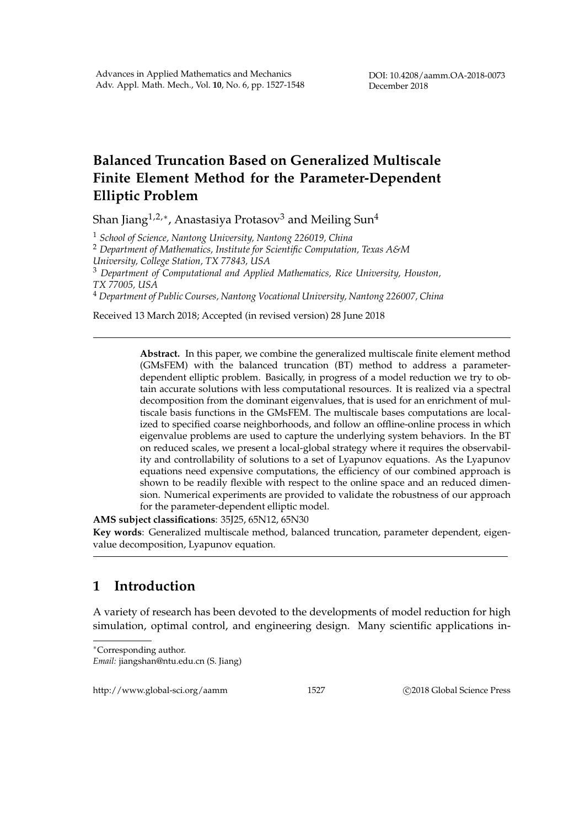## **Balanced Truncation Based on Generalized Multiscale Finite Element Method for the Parameter-Dependent Elliptic Problem**

Shan Jiang $^{1,2,*}$ , Anastasiya Protasov $^3$  and Meiling Sun $^4$ 

<sup>1</sup> *School of Science, Nantong University, Nantong 226019, China*

<sup>2</sup> *Department of Mathematics, Institute for Scientific Computation, Texas A&M University, College Station, TX 77843, USA*

<sup>3</sup> *Department of Computational and Applied Mathematics, Rice University, Houston, TX 77005, USA*

<sup>4</sup> *Department of Public Courses, Nantong Vocational University, Nantong 226007, China*

Received 13 March 2018; Accepted (in revised version) 28 June 2018

**Abstract.** In this paper, we combine the generalized multiscale finite element method (GMsFEM) with the balanced truncation (BT) method to address a parameterdependent elliptic problem. Basically, in progress of a model reduction we try to obtain accurate solutions with less computational resources. It is realized via a spectral decomposition from the dominant eigenvalues, that is used for an enrichment of multiscale basis functions in the GMsFEM. The multiscale bases computations are localized to specified coarse neighborhoods, and follow an offline-online process in which eigenvalue problems are used to capture the underlying system behaviors. In the BT on reduced scales, we present a local-global strategy where it requires the observability and controllability of solutions to a set of Lyapunov equations. As the Lyapunov equations need expensive computations, the efficiency of our combined approach is shown to be readily flexible with respect to the online space and an reduced dimension. Numerical experiments are provided to validate the robustness of our approach for the parameter-dependent elliptic model.

**AMS subject classifications**: 35J25, 65N12, 65N30

**Key words**: Generalized multiscale method, balanced truncation, parameter dependent, eigenvalue decomposition, Lyapunov equation.

## **1 Introduction**

A variety of research has been devoted to the developments of model reduction for high simulation, optimal control, and engineering design. Many scientific applications in-

http://www.global-sci.org/aamm 1527 C 2018 Global Science Press

<sup>∗</sup>Corresponding author.

*Email:* jiangshan@ntu.edu.cn (S. Jiang)